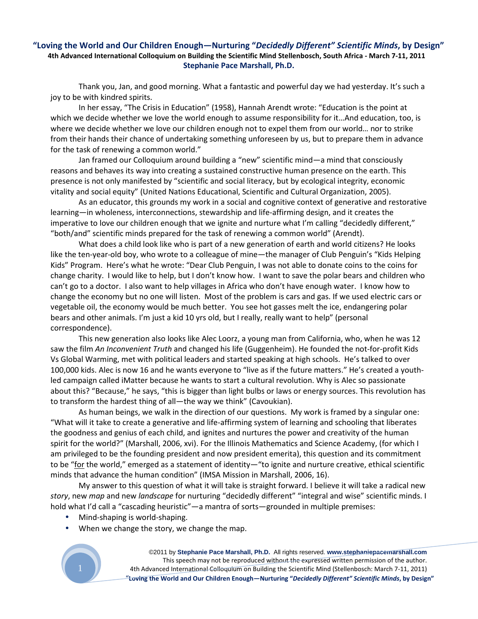## **"Loving the World and Our Children Enough—Nurturing "***Decidedly Different" Scientific Minds***, by Design" 4th Advanced International Colloquium on Building the Scientific Mind Stellenbosch, South Africa - March 7-11, 2011 Stephanie Pace Marshall, Ph.D.**

Thank you, Jan, and good morning. What a fantastic and powerful day we had yesterday. It's such a joy to be with kindred spirits.

In her essay, "The Crisis in Education" (1958), Hannah Arendt wrote: "Education is the point at which we decide whether we love the world enough to assume responsibility for it...And education, too, is where we decide whether we love our children enough not to expel them from our world… nor to strike from their hands their chance of undertaking something unforeseen by us, but to prepare them in advance for the task of renewing a common world."

Jan framed our Colloquium around building a "new" scientific mind—a mind that consciously reasons and behaves its way into creating a sustained constructive human presence on the earth. This presence is not only manifested by "scientific and social literacy, but by ecological integrity, economic vitality and social equity" (United Nations Educational, Scientific and Cultural Organization, 2005).

As an educator, this grounds my work in a social and cognitive context of generative and restorative learning—in wholeness, interconnections, stewardship and life-affirming design, and it creates the imperative to love our children enough that we ignite and nurture what I'm calling "decidedly different," "both/and" scientific minds prepared for the task of renewing a common world" (Arendt).

What does a child look like who is part of a new generation of earth and world citizens? He looks like the ten-year-old boy, who wrote to a colleague of mine—the manager of Club Penguin's "Kids Helping Kids" Program. Here's what he wrote: "Dear Club Penguin, I was not able to donate coins to the coins for change charity. I would like to help, but I don't know how. I want to save the polar bears and children who can't go to a doctor. I also want to help villages in Africa who don't have enough water. I know how to change the economy but no one will listen. Most of the problem is cars and gas. If we used electric cars or vegetable oil, the economy would be much better. You see hot gasses melt the ice, endangering polar bears and other animals. I'm just a kid 10 yrs old, but I really, really want to help" (personal correspondence).

This new generation also looks like Alec Loorz, a young man from California, who, when he was 12 saw the film *An Inconvenient Truth* and changed his life (Guggenheim). He founded the not-for-profit Kids Vs Global Warming, met with political leaders and started speaking at high schools. He's talked to over 100,000 kids. Alec is now 16 and he wants everyone to "live as if the future matters." He's created a youthled campaign called iMatter because he wants to start a cultural revolution. Why is Alec so passionate about this? "Because," he says, "this is bigger than light bulbs or laws or energy sources. This revolution has to transform the hardest thing of all—the way we think" (Cavoukian).

As human beings, we walk in the direction of our questions. My work is framed by a singular one: "What will it take to create a generative and life-affirming system of learning and schooling that liberates the goodness and genius of each child, and ignites and nurtures the power and creativity of the human spirit for the world?" (Marshall, 2006, xvi). For the Illinois Mathematics and Science Academy, (for which I am privileged to be the founding president and now president emerita), this question and its commitment to be "for the world," emerged as a statement of identity—"to ignite and nurture creative, ethical scientific minds that advance the human condition" (IMSA Mission in Marshall, 2006, 16).

My answer to this question of what it will take is straight forward. I believe it will take a radical new *story*, new *map* and new *landscape* for nurturing "decidedly different" "integral and wise" scientific minds. I hold what I'd call a "cascading heuristic"—a mantra of sorts—grounded in multiple premises:

- Mind-shaping is world-shaping.
- When we change the story, we change the map.

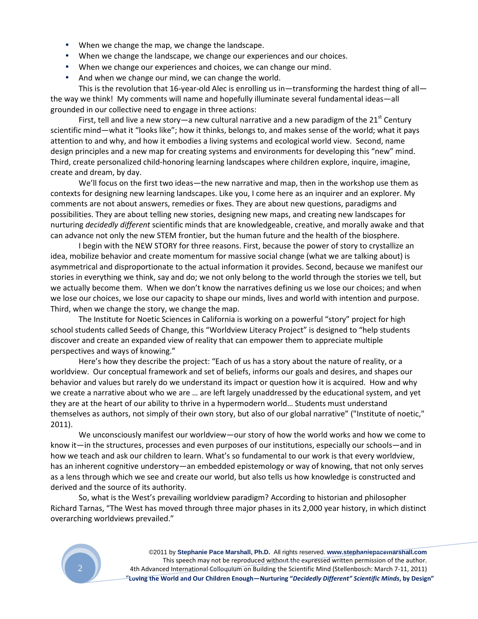- When we change the map, we change the landscape.
- When we change the landscape, we change our experiences and our choices.
- When we change our experiences and choices, we can change our mind.
- And when we change our mind, we can change the world.

This is the revolution that 16-year-old Alec is enrolling us in—transforming the hardest thing of all the way we think! My comments will name and hopefully illuminate several fundamental ideas—all grounded in our collective need to engage in three actions:

First, tell and live a new story—a new cultural narrative and a new paradigm of the  $21^{st}$  Century scientific mind—what it "looks like"; how it thinks, belongs to, and makes sense of the world; what it pays attention to and why, and how it embodies a living systems and ecological world view. Second, name design principles and a new map for creating systems and environments for developing this "new" mind. Third, create personalized child-honoring learning landscapes where children explore, inquire, imagine, create and dream, by day.

We'll focus on the first two ideas—the new narrative and map, then in the workshop use them as contexts for designing new learning landscapes. Like you, I come here as an inquirer and an explorer. My comments are not about answers, remedies or fixes. They are about new questions, paradigms and possibilities. They are about telling new stories, designing new maps, and creating new landscapes for nurturing *decidedly different* scientific minds that are knowledgeable, creative, and morally awake and that can advance not only the new STEM frontier, but the human future and the health of the biosphere.

I begin with the NEW STORY for three reasons. First, because the power of story to crystallize an idea, mobilize behavior and create momentum for massive social change (what we are talking about) is asymmetrical and disproportionate to the actual information it provides. Second, because we manifest our stories in everything we think, say and do; we not only belong to the world through the stories we tell, but we actually become them. When we don't know the narratives defining us we lose our choices; and when we lose our choices, we lose our capacity to shape our minds, lives and world with intention and purpose. Third, when we change the story, we change the map.

The Institute for Noetic Sciences in California is working on a powerful "story" project for high school students called Seeds of Change, this "Worldview Literacy Project" is designed to "help students discover and create an expanded view of reality that can empower them to appreciate multiple perspectives and ways of knowing."

Here's how they describe the project: "Each of us has a story about the nature of reality, or a worldview. Our conceptual framework and set of beliefs, informs our goals and desires, and shapes our behavior and values but rarely do we understand its impact or question how it is acquired. How and why we create a narrative about who we are … are left largely unaddressed by the educational system, and yet they are at the heart of our ability to thrive in a hypermodern world… Students must understand themselves as authors, not simply of their own story, but also of our global narrative" ("Institute of noetic," 2011).

We unconsciously manifest our worldview—our story of how the world works and how we come to know it—in the structures, processes and even purposes of our institutions, especially our schools—and in how we teach and ask our children to learn. What's so fundamental to our work is that every worldview, has an inherent cognitive understory—an embedded epistemology or way of knowing, that not only serves as a lens through which we see and create our world, but also tells us how knowledge is constructed and derived and the source of its authority.

So, what is the West's prevailing worldview paradigm? According to historian and philosopher Richard Tarnas, "The West has moved through three major phases in its 2,000 year history, in which distinct overarching worldviews prevailed."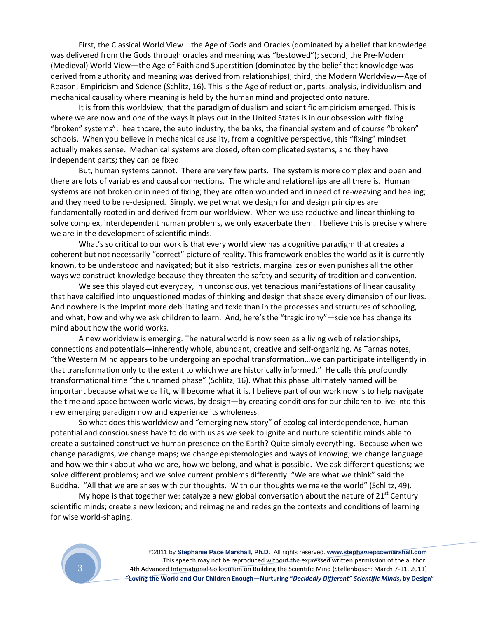First, the Classical World View—the Age of Gods and Oracles (dominated by a belief that knowledge was delivered from the Gods through oracles and meaning was "bestowed"); second, the Pre-Modern (Medieval) World View—the Age of Faith and Superstition (dominated by the belief that knowledge was derived from authority and meaning was derived from relationships); third, the Modern Worldview—Age of Reason, Empiricism and Science (Schlitz, 16). This is the Age of reduction, parts, analysis, individualism and mechanical causality where meaning is held by the human mind and projected onto nature.

It is from this worldview, that the paradigm of dualism and scientific empiricism emerged. This is where we are now and one of the ways it plays out in the United States is in our obsession with fixing "broken" systems": healthcare, the auto industry, the banks, the financial system and of course "broken" schools. When you believe in mechanical causality, from a cognitive perspective, this "fixing" mindset actually makes sense. Mechanical systems are closed, often complicated systems, and they have independent parts; they can be fixed.

But, human systems cannot. There are very few parts. The system is more complex and open and there are lots of variables and causal connections. The whole and relationships are all there is. Human systems are not broken or in need of fixing; they are often wounded and in need of re-weaving and healing; and they need to be re-designed. Simply, we get what we design for and design principles are fundamentally rooted in and derived from our worldview. When we use reductive and linear thinking to solve complex, interdependent human problems, we only exacerbate them. I believe this is precisely where we are in the development of scientific minds.

What's so critical to our work is that every world view has a cognitive paradigm that creates a coherent but not necessarily "correct" picture of reality. This framework enables the world as it is currently known, to be understood and navigated; but it also restricts, marginalizes or even punishes all the other ways we construct knowledge because they threaten the safety and security of tradition and convention.

We see this played out everyday, in unconscious, yet tenacious manifestations of linear causality that have calcified into unquestioned modes of thinking and design that shape every dimension of our lives. And nowhere is the imprint more debilitating and toxic than in the processes and structures of schooling, and what, how and why we ask children to learn. And, here's the "tragic irony"—science has change its mind about how the world works.

A new worldview is emerging. The natural world is now seen as a living web of relationships, connections and potentials—inherently whole, abundant, creative and self-organizing. As Tarnas notes, "the Western Mind appears to be undergoing an epochal transformation…we can participate intelligently in that transformation only to the extent to which we are historically informed." He calls this profoundly transformational time "the unnamed phase" (Schlitz, 16). What this phase ultimately named will be important because what we call it, will become what it is. I believe part of our work now is to help navigate the time and space between world views, by design—by creating conditions for our children to live into this new emerging paradigm now and experience its wholeness.

So what does this worldview and "emerging new story" of ecological interdependence, human potential and consciousness have to do with us as we seek to ignite and nurture scientific minds able to create a sustained constructive human presence on the Earth? Quite simply everything. Because when we change paradigms, we change maps; we change epistemologies and ways of knowing; we change language and how we think about who we are, how we belong, and what is possible. We ask different questions; we solve different problems; and we solve current problems differently. "We are what we think" said the Buddha. "All that we are arises with our thoughts. With our thoughts we make the world" (Schlitz, 49).

My hope is that together we: catalyze a new global conversation about the nature of  $21<sup>st</sup>$  Century scientific minds; create a new lexicon; and reimagine and redesign the contexts and conditions of learning for wise world-shaping.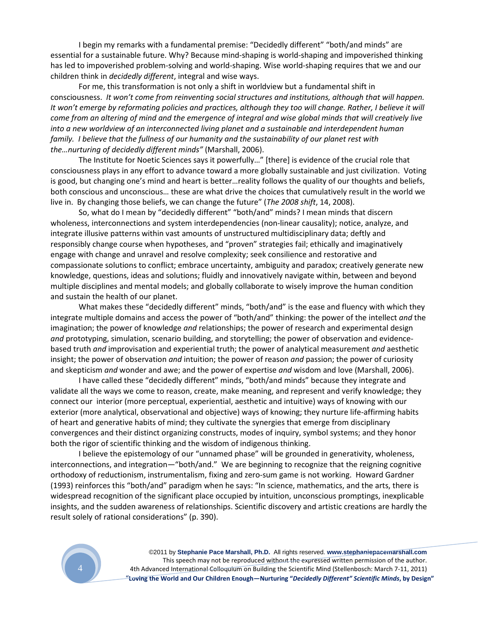I begin my remarks with a fundamental premise: "Decidedly different" "both/and minds" are essential for a sustainable future. Why? Because mind-shaping is world-shaping and impoverished thinking has led to impoverished problem-solving and world-shaping. Wise world-shaping requires that we and our children think in *decidedly different*, integral and wise ways.

For me, this transformation is not only a shift in worldview but a fundamental shift in consciousness. *It won't come from reinventing social structures and institutions, although that will happen. It won't emerge by reformating policies and practices, although they too will change. Rather, I believe it will come from an altering of mind and the emergence of integral and wise global minds that will creatively live into a new worldview of an interconnected living planet and a sustainable and interdependent human family. I believe that the fullness of our humanity and the sustainability of our planet rest with the…nurturing of decidedly different minds"* (Marshall, 2006).

The Institute for Noetic Sciences says it powerfully…" [there] is evidence of the crucial role that consciousness plays in any effort to advance toward a more globally sustainable and just civilization. Voting is good, but changing one's mind and heart is better…reality follows the quality of our thoughts and beliefs, both conscious and unconscious… these are what drive the choices that cumulatively result in the world we live in. By changing those beliefs, we can change the future" (*The 2008 shift*, 14, 2008).

So, what do I mean by "decidedly different" "both/and" minds? I mean minds that discern wholeness, interconnections and system interdependencies (non-linear causality); notice, analyze, and integrate illusive patterns within vast amounts of unstructured multidisciplinary data; deftly and responsibly change course when hypotheses, and "proven" strategies fail; ethically and imaginatively engage with change and unravel and resolve complexity; seek consilience and restorative and compassionate solutions to conflict; embrace uncertainty, ambiguity and paradox; creatively generate new knowledge, questions, ideas and solutions; fluidly and innovatively navigate within, between and beyond multiple disciplines and mental models; and globally collaborate to wisely improve the human condition and sustain the health of our planet.

What makes these "decidedly different" minds, "both/and" is the ease and fluency with which they integrate multiple domains and access the power of "both/and" thinking: the power of the intellect *and* the imagination; the power of knowledge *and* relationships; the power of research and experimental design *and* prototyping, simulation, scenario building, and storytelling; the power of observation and evidencebased truth *and* improvisation and experiential truth; the power of analytical measurement *and* aesthetic insight; the power of observation *and* intuition; the power of reason *and* passion; the power of curiosity and skepticism *and* wonder and awe; and the power of expertise *and* wisdom and love (Marshall, 2006).

I have called these "decidedly different" minds, "both/and minds" because they integrate and validate all the ways we come to reason, create, make meaning, and represent and verify knowledge; they connect our interior (more perceptual, experiential, aesthetic and intuitive) ways of knowing with our exterior (more analytical, observational and objective) ways of knowing; they nurture life-affirming habits of heart and generative habits of mind; they cultivate the synergies that emerge from disciplinary convergences and their distinct organizing constructs, modes of inquiry, symbol systems; and they honor both the rigor of scientific thinking and the wisdom of indigenous thinking.

I believe the epistemology of our "unnamed phase" will be grounded in generativity, wholeness, interconnections, and integration—"both/and." We are beginning to recognize that the reigning cognitive orthodoxy of reductionism, instrumentalism, fixing and zero-sum game is not working. Howard Gardner (1993) reinforces this "both/and" paradigm when he says: "In science, mathematics, and the arts, there is widespread recognition of the significant place occupied by intuition, unconscious promptings, inexplicable insights, and the sudden awareness of relationships. Scientific discovery and artistic creations are hardly the result solely of rational considerations" (p. 390).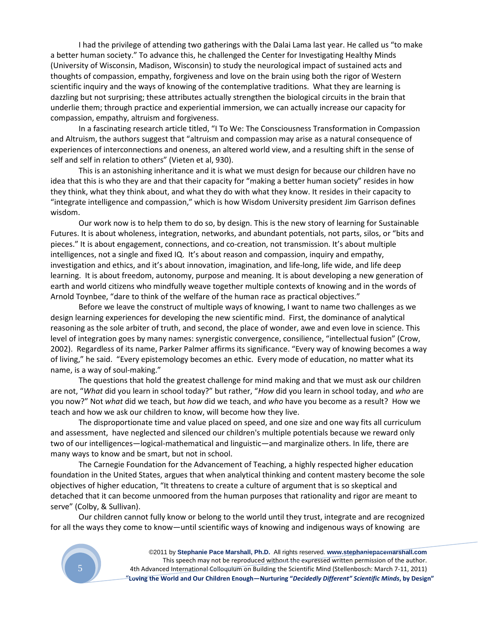I had the privilege of attending two gatherings with the Dalai Lama last year. He called us "to make a better human society." To advance this, he challenged the Center for Investigating Healthy Minds (University of Wisconsin, Madison, Wisconsin) to study the neurological impact of sustained acts and thoughts of compassion, empathy, forgiveness and love on the brain using both the rigor of Western scientific inquiry and the ways of knowing of the contemplative traditions. What they are learning is dazzling but not surprising; these attributes actually strengthen the biological circuits in the brain that underlie them; through practice and experiential immersion, we can actually increase our capacity for compassion, empathy, altruism and forgiveness.

In a fascinating research article titled, "I To We: The Consciousness Transformation in Compassion and Altruism, the authors suggest that "altruism and compassion may arise as a natural consequence of experiences of interconnections and oneness, an altered world view, and a resulting shift in the sense of self and self in relation to others" (Vieten et al, 930).

This is an astonishing inheritance and it is what we must design for because our children have no idea that this is who they are and that their capacity for "making a better human society" resides in how they think, what they think about, and what they do with what they know. It resides in their capacity to "integrate intelligence and compassion," which is how Wisdom University president Jim Garrison defines wisdom.

Our work now is to help them to do so, by design. This is the new story of learning for Sustainable Futures. It is about wholeness, integration, networks, and abundant potentials, not parts, silos, or "bits and pieces." It is about engagement, connections, and co-creation, not transmission. It's about multiple intelligences, not a single and fixed IQ. It's about reason and compassion, inquiry and empathy, investigation and ethics, and it's about innovation, imagination, and life-long, life wide, and life deep learning. It is about freedom, autonomy, purpose and meaning. It is about developing a new generation of earth and world citizens who mindfully weave together multiple contexts of knowing and in the words of Arnold Toynbee, "dare to think of the welfare of the human race as practical objectives."

Before we leave the construct of multiple ways of knowing, I want to name two challenges as we design learning experiences for developing the new scientific mind. First, the dominance of analytical reasoning as the sole arbiter of truth, and second, the place of wonder, awe and even love in science. This level of integration goes by many names: synergistic convergence, consilience, "intellectual fusion" (Crow, 2002). Regardless of its name, Parker Palmer affirms its significance. "Every way of knowing becomes a way of living," he said. "Every epistemology becomes an ethic. Every mode of education, no matter what its name, is a way of soul-making."

The questions that hold the greatest challenge for mind making and that we must ask our children are not, "*What* did you learn in school today?" but rather, "*How* did you learn in school today, and *who* are you now?" Not *what* did we teach, but *how* did we teach, and *who* have you become as a result? How we teach and how we ask our children to know, will become how they live.

The disproportionate time and value placed on speed, and one size and one way fits all curriculum and assessment, have neglected and silenced our children's multiple potentials because we reward only two of our intelligences—logical-mathematical and linguistic—and marginalize others. In life, there are many ways to know and be smart, but not in school.

The Carnegie Foundation for the Advancement of Teaching, a highly respected higher education foundation in the United States, argues that when analytical thinking and content mastery become the sole objectives of higher education, "It threatens to create a culture of argument that is so skeptical and detached that it can become unmoored from the human purposes that rationality and rigor are meant to serve" (Colby, & Sullivan).

Our children cannot fully know or belong to the world until they trust, integrate and are recognized for all the ways they come to know—until scientific ways of knowing and indigenous ways of knowing are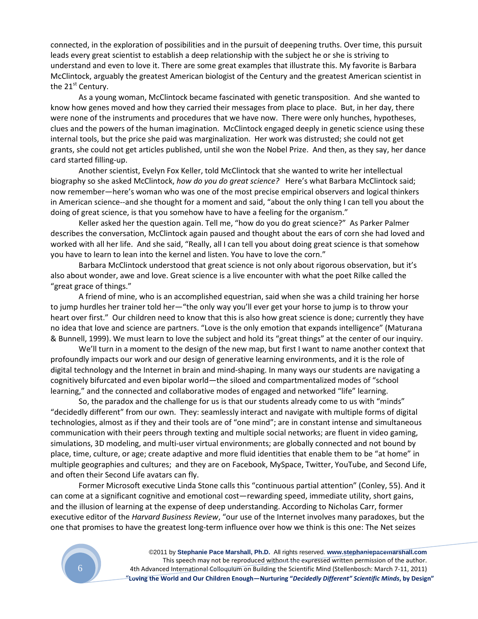connected, in the exploration of possibilities and in the pursuit of deepening truths. Over time, this pursuit leads every great scientist to establish a deep relationship with the subject he or she is striving to understand and even to love it. There are some great examples that illustrate this. My favorite is Barbara McClintock, arguably the greatest American biologist of the Century and the greatest American scientist in the  $21<sup>st</sup>$  Century.

As a young woman, McClintock became fascinated with genetic transposition. And she wanted to know how genes moved and how they carried their messages from place to place. But, in her day, there were none of the instruments and procedures that we have now. There were only hunches, hypotheses, clues and the powers of the human imagination. McClintock engaged deeply in genetic science using these internal tools, but the price she paid was marginalization. Her work was distrusted; she could not get grants, she could not get articles published, until she won the Nobel Prize. And then, as they say, her dance card started filling-up.

Another scientist, Evelyn Fox Keller, told McClintock that she wanted to write her intellectual biography so she asked McClintock, *how do you do great science?* Here's what Barbara McClintock said; now remember—here's woman who was one of the most precise empirical observers and logical thinkers in American science--and she thought for a moment and said, "about the only thing I can tell you about the doing of great science, is that you somehow have to have a feeling for the organism."

Keller asked her the question again. Tell me, "how do you do great science?" As Parker Palmer describes the conversation, McClintock again paused and thought about the ears of corn she had loved and worked with all her life. And she said, "Really, all I can tell you about doing great science is that somehow you have to learn to lean into the kernel and listen. You have to love the corn."

Barbara McClintock understood that great science is not only about rigorous observation, but it's also about wonder, awe and love. Great science is a live encounter with what the poet Rilke called the "great grace of things."

A friend of mine, who is an accomplished equestrian, said when she was a child training her horse to jump hurdles her trainer told her—"the only way you'll ever get your horse to jump is to throw your heart over first." Our children need to know that this is also how great science is done; currently they have no idea that love and science are partners. "Love is the only emotion that expands intelligence" (Maturana & Bunnell, 1999). We must learn to love the subject and hold its "great things" at the center of our inquiry.

We'll turn in a moment to the design of the new map, but first I want to name another context that profoundly impacts our work and our design of generative learning environments, and it is the role of digital technology and the Internet in brain and mind-shaping. In many ways our students are navigating a cognitively bifurcated and even bipolar world—the siloed and compartmentalized modes of "school learning," and the connected and collaborative modes of engaged and networked "life" learning.

So, the paradox and the challenge for us is that our students already come to us with "minds" "decidedly different" from our own. They: seamlessly interact and navigate with multiple forms of digital technologies, almost as if they and their tools are of "one mind"; are in constant intense and simultaneous communication with their peers through texting and multiple social networks; are fluent in video gaming, simulations, 3D modeling, and multi-user virtual environments; are globally connected and not bound by place, time, culture, or age; create adaptive and more fluid identities that enable them to be "at home" in multiple geographies and cultures; and they are on Facebook, MySpace, Twitter, YouTube, and Second Life, and often their Second Life avatars can fly.

Former Microsoft executive Linda Stone calls this "continuous partial attention" (Conley, 55). And it can come at a significant cognitive and emotional cost—rewarding speed, immediate utility, short gains, and the illusion of learning at the expense of deep understanding. According to Nicholas Carr, former executive editor of the *Harvard Business Review*, "our use of the Internet involves many paradoxes, but the one that promises to have the greatest long-term influence over how we think is this one: The Net seizes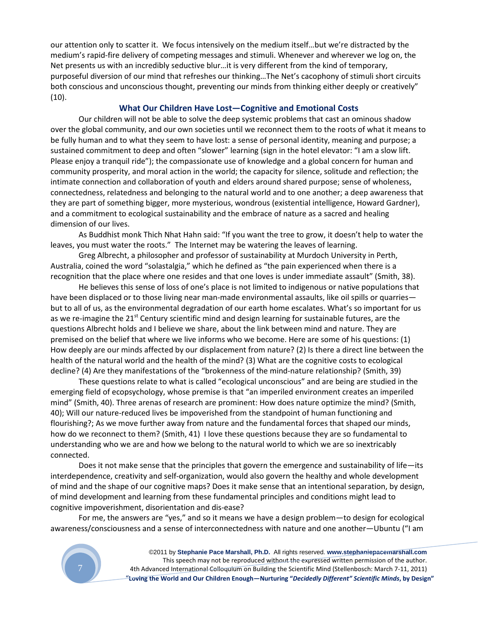our attention only to scatter it. We focus intensively on the medium itself…but we're distracted by the medium's rapid-fire delivery of competing messages and stimuli. Whenever and wherever we log on, the Net presents us with an incredibly seductive blur…it is very different from the kind of temporary, purposeful diversion of our mind that refreshes our thinking…The Net's cacophony of stimuli short circuits both conscious and unconscious thought, preventing our minds from thinking either deeply or creatively" (10).

## **What Our Children Have Lost—Cognitive and Emotional Costs**

Our children will not be able to solve the deep systemic problems that cast an ominous shadow over the global community, and our own societies until we reconnect them to the roots of what it means to be fully human and to what they seem to have lost: a sense of personal identity, meaning and purpose; a sustained commitment to deep and often "slower" learning (sign in the hotel elevator: "I am a slow lift. Please enjoy a tranquil ride"); the compassionate use of knowledge and a global concern for human and community prosperity, and moral action in the world; the capacity for silence, solitude and reflection; the intimate connection and collaboration of youth and elders around shared purpose; sense of wholeness, connectedness, relatedness and belonging to the natural world and to one another; a deep awareness that they are part of something bigger, more mysterious, wondrous (existential intelligence, Howard Gardner), and a commitment to ecological sustainability and the embrace of nature as a sacred and healing dimension of our lives.

As Buddhist monk Thich Nhat Hahn said: "If you want the tree to grow, it doesn't help to water the leaves, you must water the roots." The Internet may be watering the leaves of learning.

Greg Albrecht, a philosopher and professor of sustainability at Murdoch University in Perth, Australia, coined the word "solastalgia," which he defined as "the pain experienced when there is a recognition that the place where one resides and that one loves is under immediate assault" (Smith, 38).

He believes this sense of loss of one's place is not limited to indigenous or native populations that have been displaced or to those living near man-made environmental assaults, like oil spills or quarries but to all of us, as the environmental degradation of our earth home escalates. What's so important for us as we re-imagine the 21<sup>st</sup> Century scientific mind and design learning for sustainable futures, are the questions Albrecht holds and I believe we share, about the link between mind and nature. They are premised on the belief that where we live informs who we become. Here are some of his questions: (1) How deeply are our minds affected by our displacement from nature? (2) Is there a direct line between the health of the natural world and the health of the mind? (3) What are the cognitive costs to ecological decline? (4) Are they manifestations of the "brokenness of the mind-nature relationship? (Smith, 39)

These questions relate to what is called "ecological unconscious" and are being are studied in the emerging field of ecopsychology, whose premise is that "an imperiled environment creates an imperiled mind" (Smith, 40). Three arenas of research are prominent: How does nature optimize the mind? (Smith, 40); Will our nature-reduced lives be impoverished from the standpoint of human functioning and flourishing?; As we move further away from nature and the fundamental forces that shaped our minds, how do we reconnect to them? (Smith, 41) I love these questions because they are so fundamental to understanding who we are and how we belong to the natural world to which we are so inextricably connected.

Does it not make sense that the principles that govern the emergence and sustainability of life—its interdependence, creativity and self-organization, would also govern the healthy and whole development of mind and the shape of our cognitive maps? Does it make sense that an intentional separation, by design, of mind development and learning from these fundamental principles and conditions might lead to cognitive impoverishment, disorientation and dis-ease?

For me, the answers are "yes," and so it means we have a design problem—to design for ecological awareness/consciousness and a sense of interconnectedness with nature and one another—Ubuntu ("I am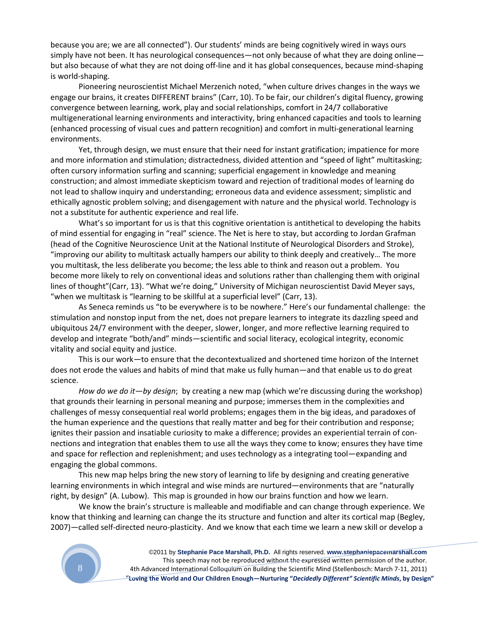because you are; we are all connected"). Our students' minds are being cognitively wired in ways ours simply have not been. It has neurological consequences—not only because of what they are doing online but also because of what they are not doing off-line and it has global consequences, because mind-shaping is world-shaping.

Pioneering neuroscientist Michael Merzenich noted, "when culture drives changes in the ways we engage our brains, it creates DIFFERENT brains" (Carr, 10). To be fair, our children's digital fluency, growing convergence between learning, work, play and social relationships, comfort in 24/7 collaborative multigenerational learning environments and interactivity, bring enhanced capacities and tools to learning (enhanced processing of visual cues and pattern recognition) and comfort in multi-generational learning environments.

Yet, through design, we must ensure that their need for instant gratification; impatience for more and more information and stimulation; distractedness, divided attention and "speed of light" multitasking; often cursory information surfing and scanning; superficial engagement in knowledge and meaning construction; and almost immediate skepticism toward and rejection of traditional modes of learning do not lead to shallow inquiry and understanding; erroneous data and evidence assessment; simplistic and ethically agnostic problem solving; and disengagement with nature and the physical world. Technology is not a substitute for authentic experience and real life.

What's so important for us is that this cognitive orientation is antithetical to developing the habits of mind essential for engaging in "real" science. The Net is here to stay, but according to Jordan Grafman (head of the Cognitive Neuroscience Unit at the National Institute of Neurological Disorders and Stroke), "improving our ability to multitask actually hampers our ability to think deeply and creatively… The more you multitask, the less deliberate you become; the less able to think and reason out a problem. You become more likely to rely on conventional ideas and solutions rather than challenging them with original lines of thought"(Carr, 13). "What we're doing," University of Michigan neuroscientist David Meyer says, "when we multitask is "learning to be skillful at a superficial level" (Carr, 13).

As Seneca reminds us "to be everywhere is to be nowhere." Here's our fundamental challenge: the stimulation and nonstop input from the net, does not prepare learners to integrate its dazzling speed and ubiquitous 24/7 environment with the deeper, slower, longer, and more reflective learning required to develop and integrate "both/and" minds—scientific and social literacy, ecological integrity, economic vitality and social equity and justice.

This is our work—to ensure that the decontextualized and shortened time horizon of the Internet does not erode the values and habits of mind that make us fully human—and that enable us to do great science.

*How do we do it—by design*; by creating a new map (which we're discussing during the workshop) that grounds their learning in personal meaning and purpose; immerses them in the complexities and challenges of messy consequential real world problems; engages them in the big ideas, and paradoxes of the human experience and the questions that really matter and beg for their contribution and response; ignites their passion and insatiable curiosity to make a difference; provides an experiential terrain of connections and integration that enables them to use all the ways they come to know; ensures they have time and space for reflection and replenishment; and uses technology as a integrating tool—expanding and engaging the global commons.

This new map helps bring the new story of learning to life by designing and creating generative learning environments in which integral and wise minds are nurtured—environments that are "naturally right, by design" (A. Lubow). This map is grounded in how our brains function and how we learn.

We know the brain's structure is malleable and modifiable and can change through experience. We know that thinking and learning can change the its structure and function and alter its cortical map (Begley, 2007)—called self-directed neuro-plasticity. And we know that each time we learn a new skill or develop a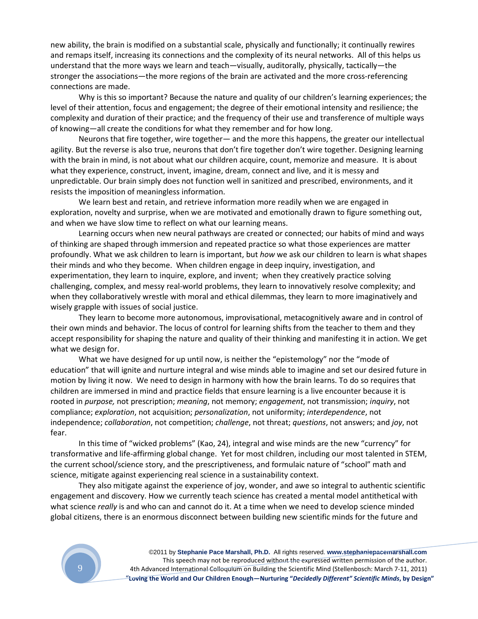new ability, the brain is modified on a substantial scale, physically and functionally; it continually rewires and remaps itself, increasing its connections and the complexity of its neural networks. All of this helps us understand that the more ways we learn and teach—visually, auditorally, physically, tactically—the stronger the associations—the more regions of the brain are activated and the more cross-referencing connections are made.

Why is this so important? Because the nature and quality of our children's learning experiences; the level of their attention, focus and engagement; the degree of their emotional intensity and resilience; the complexity and duration of their practice; and the frequency of their use and transference of multiple ways of knowing—all create the conditions for what they remember and for how long.

Neurons that fire together, wire together— and the more this happens, the greater our intellectual agility. But the reverse is also true, neurons that don't fire together don't wire together. Designing learning with the brain in mind, is not about what our children acquire, count, memorize and measure. It is about what they experience, construct, invent, imagine, dream, connect and live, and it is messy and unpredictable. Our brain simply does not function well in sanitized and prescribed, environments, and it resists the imposition of meaningless information.

We learn best and retain, and retrieve information more readily when we are engaged in exploration, novelty and surprise, when we are motivated and emotionally drawn to figure something out, and when we have slow time to reflect on what our learning means.

Learning occurs when new neural pathways are created or connected; our habits of mind and ways of thinking are shaped through immersion and repeated practice so what those experiences are matter profoundly. What we ask children to learn is important, but *how* we ask our children to learn is what shapes their minds and who they become. When children engage in deep inquiry, investigation, and experimentation, they learn to inquire, explore, and invent; when they creatively practice solving challenging, complex, and messy real-world problems, they learn to innovatively resolve complexity; and when they collaboratively wrestle with moral and ethical dilemmas, they learn to more imaginatively and wisely grapple with issues of social justice.

They learn to become more autonomous, improvisational, metacognitively aware and in control of their own minds and behavior. The locus of control for learning shifts from the teacher to them and they accept responsibility for shaping the nature and quality of their thinking and manifesting it in action. We get what we design for.

What we have designed for up until now, is neither the "epistemology" nor the "mode of education" that will ignite and nurture integral and wise minds able to imagine and set our desired future in motion by living it now. We need to design in harmony with how the brain learns. To do so requires that children are immersed in mind and practice fields that ensure learning is a live encounter because it is rooted in *purpose,* not prescription; *meaning*, not memory; *engagement*, not transmission; *inquiry*, not compliance; *exploration*, not acquisition; *personalization*, not uniformity; *interdependence*, not independence; *collaboration*, not competition; *challenge*, not threat; *questions*, not answers; and *joy*, not fear.

In this time of "wicked problems" (Kao, 24), integral and wise minds are the new "currency" for transformative and life-affirming global change. Yet for most children, including our most talented in STEM, the current school/science story, and the prescriptiveness, and formulaic nature of "school" math and science, mitigate against experiencing real science in a sustainability context.

They also mitigate against the experience of joy, wonder, and awe so integral to authentic scientific engagement and discovery. How we currently teach science has created a mental model antithetical with what science *really* is and who can and cannot do it. At a time when we need to develop science minded global citizens, there is an enormous disconnect between building new scientific minds for the future and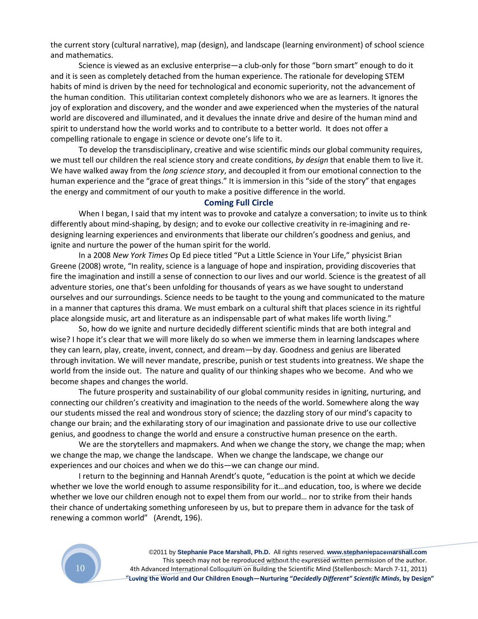the current story (cultural narrative), map (design), and landscape (learning environment) of school science and mathematics.

Science is viewed as an exclusive enterprise—a club-only for those "born smart" enough to do it and it is seen as completely detached from the human experience. The rationale for developing STEM habits of mind is driven by the need for technological and economic superiority, not the advancement of the human condition. This utilitarian context completely dishonors who we are as learners. It ignores the joy of exploration and discovery, and the wonder and awe experienced when the mysteries of the natural world are discovered and illuminated, and it devalues the innate drive and desire of the human mind and spirit to understand how the world works and to contribute to a better world. It does not offer a compelling rationale to engage in science or devote one's life to it.

To develop the transdisciplinary, creative and wise scientific minds our global community requires, we must tell our children the real science story and create conditions, *by design* that enable them to live it. We have walked away from the *long science story*, and decoupled it from our emotional connection to the human experience and the "grace of great things." It is immersion in this "side of the story" that engages the energy and commitment of our youth to make a positive difference in the world.

## **Coming Full Circle**

When I began, I said that my intent was to provoke and catalyze a conversation; to invite us to think differently about mind-shaping, by design; and to evoke our collective creativity in re-imagining and redesigning learning experiences and environments that liberate our children's goodness and genius, and ignite and nurture the power of the human spirit for the world.

In a 2008 *New York Times* Op Ed piece titled "Put a Little Science in Your Life," physicist Brian Greene (2008) wrote, "In reality, science is a language of hope and inspiration, providing discoveries that fire the imagination and instill a sense of connection to our lives and our world. Science is the greatest of all adventure stories, one that's been unfolding for thousands of years as we have sought to understand ourselves and our surroundings. Science needs to be taught to the young and communicated to the mature in a manner that captures this drama. We must embark on a cultural shift that places science in its rightful place alongside music, art and literature as an indispensable part of what makes life worth living."

So, how do we ignite and nurture decidedly different scientific minds that are both integral and wise? I hope it's clear that we will more likely do so when we immerse them in learning landscapes where they can learn, play, create, invent, connect, and dream—by day. Goodness and genius are liberated through invitation. We will never mandate, prescribe, punish or test students into greatness. We shape the world from the inside out. The nature and quality of our thinking shapes who we become. And who we become shapes and changes the world.

The future prosperity and sustainability of our global community resides in igniting, nurturing, and connecting our children's creativity and imagination to the needs of the world. Somewhere along the way our students missed the real and wondrous story of science; the dazzling story of our mind's capacity to change our brain; and the exhilarating story of our imagination and passionate drive to use our collective genius, and goodness to change the world and ensure a constructive human presence on the earth.

We are the storytellers and mapmakers. And when we change the story, we change the map; when we change the map, we change the landscape. When we change the landscape, we change our experiences and our choices and when we do this—we can change our mind.

I return to the beginning and Hannah Arendt's quote, "education is the point at which we decide whether we love the world enough to assume responsibility for it…and education, too, is where we decide whether we love our children enough not to expel them from our world… nor to strike from their hands their chance of undertaking something unforeseen by us, but to prepare them in advance for the task of renewing a common world" (Arendt, 196).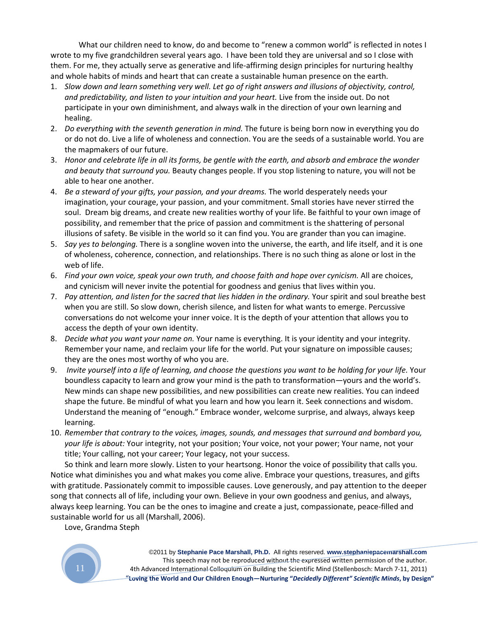What our children need to know, do and become to "renew a common world" is reflected in notes I wrote to my five grandchildren several years ago. I have been told they are universal and so I close with them. For me, they actually serve as generative and life-affirming design principles for nurturing healthy and whole habits of minds and heart that can create a sustainable human presence on the earth.

- 1. *Slow down and learn something very well. Let go of right answers and illusions of objectivity, control, and predictability, and listen to your intuition and your heart.* Live from the inside out. Do not participate in your own diminishment, and always walk in the direction of your own learning and healing.
- 2. *Do everything with the seventh generation in mind.* The future is being born now in everything you do or do not do. Live a life of wholeness and connection. You are the seeds of a sustainable world. You are the mapmakers of our future.
- 3. *Honor and celebrate life in all its forms, be gentle with the earth, and absorb and embrace the wonder and beauty that surround you.* Beauty changes people. If you stop listening to nature, you will not be able to hear one another.
- 4. *Be a steward of your gifts, your passion, and your dreams.* The world desperately needs your imagination, your courage, your passion, and your commitment. Small stories have never stirred the soul. Dream big dreams, and create new realities worthy of your life. Be faithful to your own image of possibility, and remember that the price of passion and commitment is the shattering of personal illusions of safety. Be visible in the world so it can find you. You are grander than you can imagine.
- 5. *Say yes to belonging.* There is a songline woven into the universe, the earth, and life itself, and it is one of wholeness, coherence, connection, and relationships. There is no such thing as alone or lost in the web of life.
- 6. *Find your own voice, speak your own truth, and choose faith and hope over cynicism.* All are choices, and cynicism will never invite the potential for goodness and genius that lives within you.
- 7. *Pay attention, and listen for the sacred that lies hidden in the ordinary.* Your spirit and soul breathe best when you are still. So slow down, cherish silence, and listen for what wants to emerge. Percussive conversations do not welcome your inner voice. It is the depth of your attention that allows you to access the depth of your own identity.
- 8. *Decide what you want your name on.* Your name is everything. It is your identity and your integrity. Remember your name, and reclaim your life for the world. Put your signature on impossible causes; they are the ones most worthy of who you are.
- 9. *Invite yourself into a life of learning, and choose the questions you want to be holding for your life.* Your boundless capacity to learn and grow your mind is the path to transformation—yours and the world's. New minds can shape new possibilities, and new possibilities can create new realities. You can indeed shape the future. Be mindful of what you learn and how you learn it. Seek connections and wisdom. Understand the meaning of "enough." Embrace wonder, welcome surprise, and always, always keep learning.
- 10. *Remember that contrary to the voices, images, sounds, and messages that surround and bombard you, your life is about:* Your integrity, not your position; Your voice, not your power; Your name, not your title; Your calling, not your career; Your legacy, not your success.

So think and learn more slowly. Listen to your heartsong. Honor the voice of possibility that calls you. Notice what diminishes you and what makes you come alive. Embrace your questions, treasures, and gifts with gratitude. Passionately commit to impossible causes. Love generously, and pay attention to the deeper song that connects all of life, including your own. Believe in your own goodness and genius, and always, always keep learning. You can be the ones to imagine and create a just, compassionate, peace-filled and sustainable world for us all (Marshall, 2006).

Love, Grandma Steph